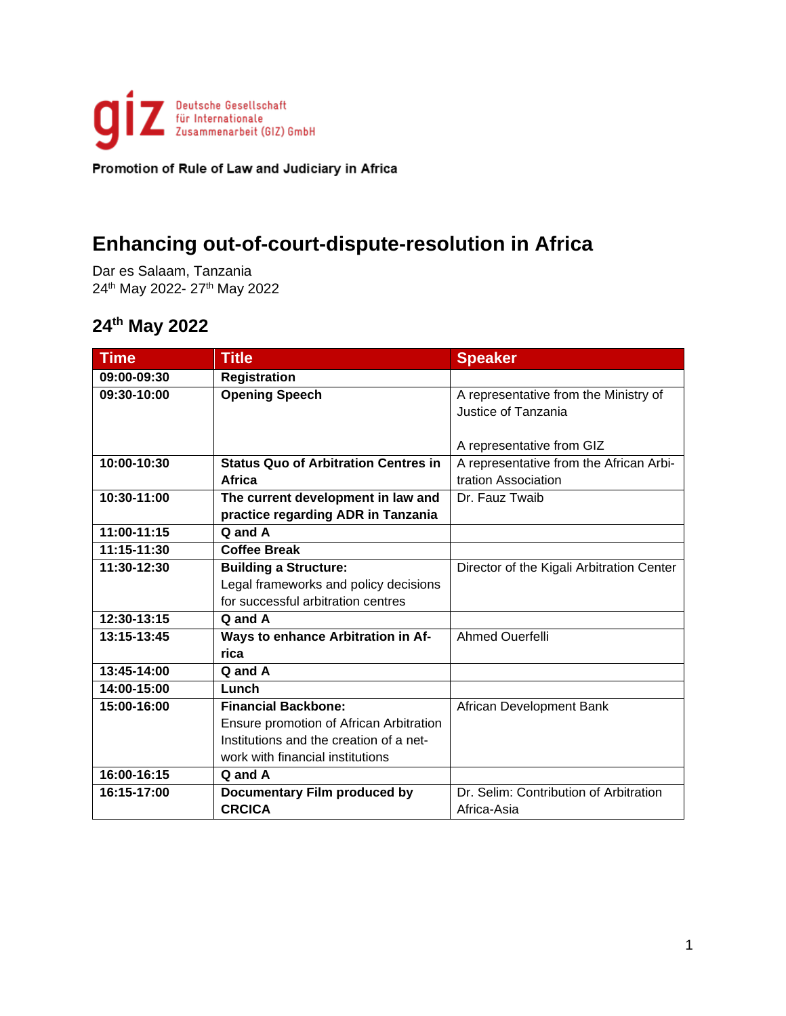

### **Enhancing out-of-court-dispute-resolution in Africa**

Dar es Salaam, Tanzania 24<sup>th</sup> May 2022- 27<sup>th</sup> May 2022

| <b>Time</b>     | <b>Title</b>                                | <b>Speaker</b>                            |
|-----------------|---------------------------------------------|-------------------------------------------|
| 09:00-09:30     | <b>Registration</b>                         |                                           |
| 09:30-10:00     | <b>Opening Speech</b>                       | A representative from the Ministry of     |
|                 |                                             | Justice of Tanzania                       |
|                 |                                             |                                           |
|                 |                                             | A representative from GIZ                 |
| 10:00-10:30     | <b>Status Quo of Arbitration Centres in</b> | A representative from the African Arbi-   |
|                 | Africa                                      | tration Association                       |
| 10:30-11:00     | The current development in law and          | Dr. Fauz Twaib                            |
|                 | practice regarding ADR in Tanzania          |                                           |
| 11:00-11:15     | Q and A                                     |                                           |
| $11:15 - 11:30$ | <b>Coffee Break</b>                         |                                           |
| 11:30-12:30     | <b>Building a Structure:</b>                | Director of the Kigali Arbitration Center |
|                 | Legal frameworks and policy decisions       |                                           |
|                 | for successful arbitration centres          |                                           |
| 12:30-13:15     | Q and A                                     |                                           |
| 13:15-13:45     | Ways to enhance Arbitration in Af-          | Ahmed Ouerfelli                           |
|                 | rica                                        |                                           |
| 13:45-14:00     | Q and A                                     |                                           |
| 14:00-15:00     | Lunch                                       |                                           |
| 15:00-16:00     | <b>Financial Backbone:</b>                  | African Development Bank                  |
|                 | Ensure promotion of African Arbitration     |                                           |
|                 | Institutions and the creation of a net-     |                                           |
|                 | work with financial institutions            |                                           |
| 16:00-16:15     | Q and A                                     |                                           |
| 16:15-17:00     | <b>Documentary Film produced by</b>         | Dr. Selim: Contribution of Arbitration    |
|                 | <b>CRCICA</b>                               | Africa-Asia                               |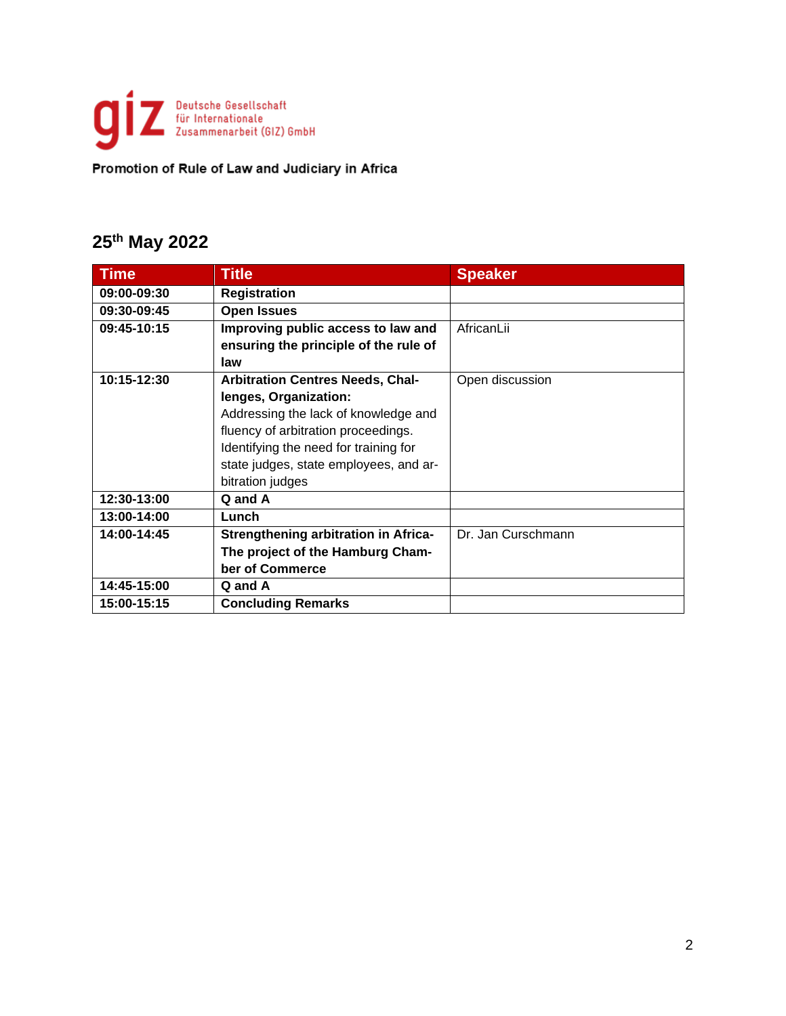

| <b>Time</b> | <b>Title</b>                                | <b>Speaker</b>     |
|-------------|---------------------------------------------|--------------------|
| 09:00-09:30 | <b>Registration</b>                         |                    |
| 09:30-09:45 | <b>Open Issues</b>                          |                    |
| 09:45-10:15 | Improving public access to law and          | AfricanLii         |
|             | ensuring the principle of the rule of       |                    |
|             | law                                         |                    |
| 10:15-12:30 | <b>Arbitration Centres Needs, Chal-</b>     | Open discussion    |
|             | lenges, Organization:                       |                    |
|             | Addressing the lack of knowledge and        |                    |
|             | fluency of arbitration proceedings.         |                    |
|             | Identifying the need for training for       |                    |
|             | state judges, state employees, and ar-      |                    |
|             | bitration judges                            |                    |
| 12:30-13:00 | Q and A                                     |                    |
| 13:00-14:00 | Lunch                                       |                    |
| 14:00-14:45 | <b>Strengthening arbitration in Africa-</b> | Dr. Jan Curschmann |
|             | The project of the Hamburg Cham-            |                    |
|             | ber of Commerce                             |                    |
| 14:45-15:00 | Q and A                                     |                    |
| 15:00-15:15 | <b>Concluding Remarks</b>                   |                    |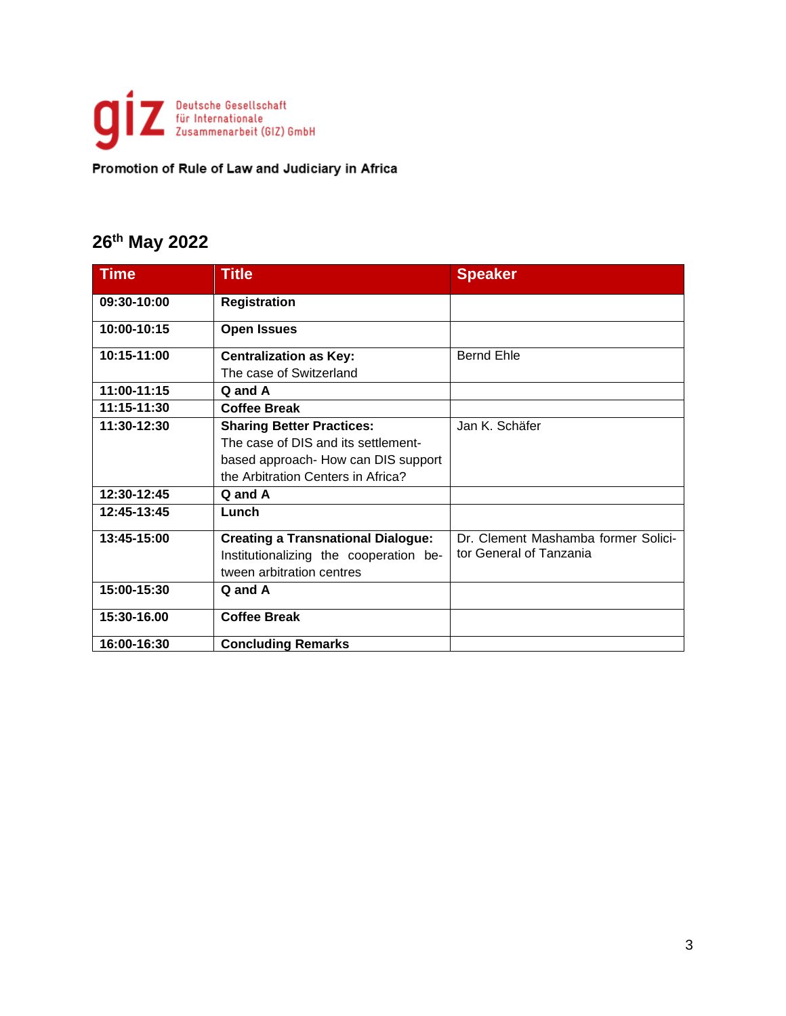

| <b>Time</b> | <b>Title</b>                              | <b>Speaker</b>                      |
|-------------|-------------------------------------------|-------------------------------------|
| 09:30-10:00 | <b>Registration</b>                       |                                     |
| 10:00-10:15 | <b>Open Issues</b>                        |                                     |
| 10:15-11:00 | <b>Centralization as Key:</b>             | <b>Bernd Ehle</b>                   |
|             | The case of Switzerland                   |                                     |
| 11:00-11:15 | Q and A                                   |                                     |
| 11:15-11:30 | <b>Coffee Break</b>                       |                                     |
| 11:30-12:30 | <b>Sharing Better Practices:</b>          | Jan K. Schäfer                      |
|             | The case of DIS and its settlement-       |                                     |
|             | based approach- How can DIS support       |                                     |
|             | the Arbitration Centers in Africa?        |                                     |
| 12:30-12:45 | Q and A                                   |                                     |
| 12:45-13:45 | Lunch                                     |                                     |
| 13:45-15:00 | <b>Creating a Transnational Dialogue:</b> | Dr. Clement Mashamba former Solici- |
|             | Institutionalizing the cooperation be-    | tor General of Tanzania             |
|             | tween arbitration centres                 |                                     |
| 15:00-15:30 | Q and A                                   |                                     |
| 15:30-16.00 | <b>Coffee Break</b>                       |                                     |
| 16:00-16:30 | <b>Concluding Remarks</b>                 |                                     |